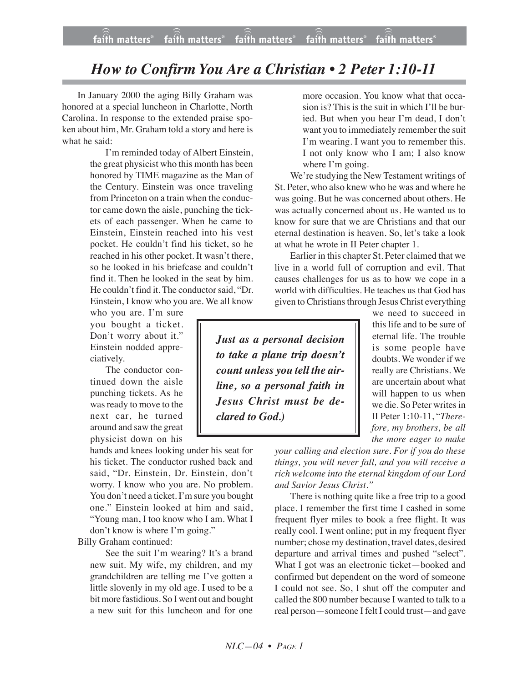## *How to Confirm You Are a Christian • 2 Peter 1:10-11*

In January 2000 the aging Billy Graham was honored at a special luncheon in Charlotte, North Carolina. In response to the extended praise spoken about him, Mr. Graham told a story and here is what he said:

> I'm reminded today of Albert Einstein, the great physicist who this month has been honored by TIME magazine as the Man of the Century. Einstein was once traveling from Princeton on a train when the conductor came down the aisle, punching the tickets of each passenger. When he came to Einstein, Einstein reached into his vest pocket. He couldn't find his ticket, so he reached in his other pocket. It wasn't there, so he looked in his briefcase and couldn't find it. Then he looked in the seat by him. He couldn't find it. The conductor said, "Dr. Einstein, I know who you are. We all know

who you are. I'm sure you bought a ticket. Don't worry about it." Einstein nodded appreciatively.

The conductor continued down the aisle punching tickets. As he was ready to move to the next car, he turned around and saw the great physicist down on his

hands and knees looking under his seat for his ticket. The conductor rushed back and said, "Dr. Einstein, Dr. Einstein, don't worry. I know who you are. No problem. You don't need a ticket. I'm sure you bought one." Einstein looked at him and said, "Young man, I too know who I am. What I don't know is where I'm going."

Billy Graham continued:

See the suit I'm wearing? It's a brand new suit. My wife, my children, and my grandchildren are telling me I've gotten a little slovenly in my old age. I used to be a bit more fastidious. So I went out and bought a new suit for this luncheon and for one

more occasion. You know what that occasion is? This is the suit in which I'll be buried. But when you hear I'm dead, I don't want you to immediately remember the suit I'm wearing. I want you to remember this. I not only know who I am; I also know where I'm going.

We're studying the New Testament writings of St. Peter, who also knew who he was and where he was going. But he was concerned about others. He was actually concerned about us. He wanted us to know for sure that we are Christians and that our eternal destination is heaven. So, let's take a look at what he wrote in II Peter chapter 1.

Earlier in this chapter St. Peter claimed that we live in a world full of corruption and evil. That causes challenges for us as to how we cope in a world with difficulties. He teaches us that God has given to Christians through Jesus Christ everything

*Just as a personal decision to take a plane trip doesn't count unless you tell the airline, so a personal faith in Jesus Christ must be declared to God.)*

we need to succeed in this life and to be sure of eternal life. The trouble is some people have doubts. We wonder if we really are Christians. We are uncertain about what will happen to us when we die. So Peter writes in II Peter 1:10-11, "*Therefore, my brothers, be all the more eager to make*

*your calling and election sure. For if you do these things, you will never fall, and you will receive a rich welcome into the eternal kingdom of our Lord and Savior Jesus Christ."*

There is nothing quite like a free trip to a good place. I remember the first time I cashed in some frequent flyer miles to book a free flight. It was really cool. I went online; put in my frequent flyer number; chose my destination, travel dates, desired departure and arrival times and pushed "select". What I got was an electronic ticket—booked and confirmed but dependent on the word of someone I could not see. So, I shut off the computer and called the 800 number because I wanted to talk to a real person—someone I felt I could trust—and gave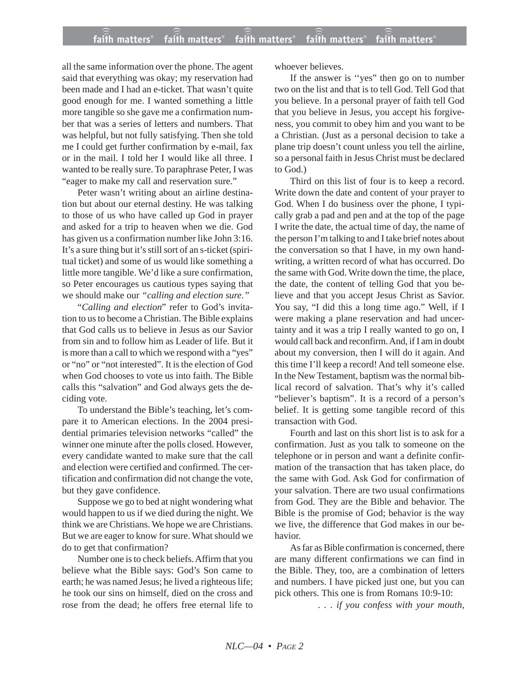## **faith matters® faith matters® faith matters® faith matters® faith matters®** ))) ))) faith matters® faith matters® faith matters

all the same information over the phone. The agent said that everything was okay; my reservation had been made and I had an e-ticket. That wasn't quite good enough for me. I wanted something a little more tangible so she gave me a confirmation number that was a series of letters and numbers. That was helpful, but not fully satisfying. Then she told me I could get further confirmation by e-mail, fax or in the mail. I told her I would like all three. I wanted to be really sure. To paraphrase Peter, I was "eager to make my call and reservation sure."

Peter wasn't writing about an airline destination but about our eternal destiny. He was talking to those of us who have called up God in prayer and asked for a trip to heaven when we die. God has given us a confirmation number like John 3:16. It's a sure thing but it's still sort of an s-ticket (spiritual ticket) and some of us would like something a little more tangible. We'd like a sure confirmation, so Peter encourages us cautious types saying that we should make our *"calling and election sure."*

"*Calling and election*" refer to God's invitation to us to become a Christian. The Bible explains that God calls us to believe in Jesus as our Savior from sin and to follow him as Leader of life. But it is more than a call to which we respond with a "yes" or "no" or "not interested". It is the election of God when God chooses to vote us into faith. The Bible calls this "salvation" and God always gets the deciding vote.

To understand the Bible's teaching, let's compare it to American elections. In the 2004 presidential primaries television networks "called" the winner one minute after the polls closed. However, every candidate wanted to make sure that the call and election were certified and confirmed. The certification and confirmation did not change the vote, but they gave confidence.

Suppose we go to bed at night wondering what would happen to us if we died during the night. We think we are Christians. We hope we are Christians. But we are eager to know for sure. What should we do to get that confirmation?

Number one is to check beliefs. Affirm that you believe what the Bible says: God's Son came to earth; he was named Jesus; he lived a righteous life; he took our sins on himself, died on the cross and rose from the dead; he offers free eternal life to whoever believes.

If the answer is ''yes" then go on to number two on the list and that is to tell God. Tell God that you believe. In a personal prayer of faith tell God that you believe in Jesus, you accept his forgiveness, you commit to obey him and you want to be a Christian. (Just as a personal decision to take a plane trip doesn't count unless you tell the airline, so a personal faith in Jesus Christ must be declared to God.)

Third on this list of four is to keep a record. Write down the date and content of your prayer to God. When I do business over the phone, I typically grab a pad and pen and at the top of the page I write the date, the actual time of day, the name of the person I'm talking to and I take brief notes about the conversation so that I have, in my own handwriting, a written record of what has occurred. Do the same with God. Write down the time, the place, the date, the content of telling God that you believe and that you accept Jesus Christ as Savior. You say, "I did this a long time ago." Well, if I were making a plane reservation and had uncertainty and it was a trip I really wanted to go on, I would call back and reconfirm. And, if I am in doubt about my conversion, then I will do it again. And this time I'll keep a record! And tell someone else. In the New Testament, baptism was the normal biblical record of salvation. That's why it's called "believer's baptism". It is a record of a person's belief. It is getting some tangible record of this transaction with God.

Fourth and last on this short list is to ask for a confirmation. Just as you talk to someone on the telephone or in person and want a definite confirmation of the transaction that has taken place, do the same with God. Ask God for confirmation of your salvation. There are two usual confirmations from God. They are the Bible and behavior. The Bible is the promise of God; behavior is the way we live, the difference that God makes in our behavior.

As far as Bible confirmation is concerned, there are many different confirmations we can find in the Bible. They, too, are a combination of letters and numbers. I have picked just one, but you can pick others. This one is from Romans 10:9-10:

*. . . if you confess with your mouth,*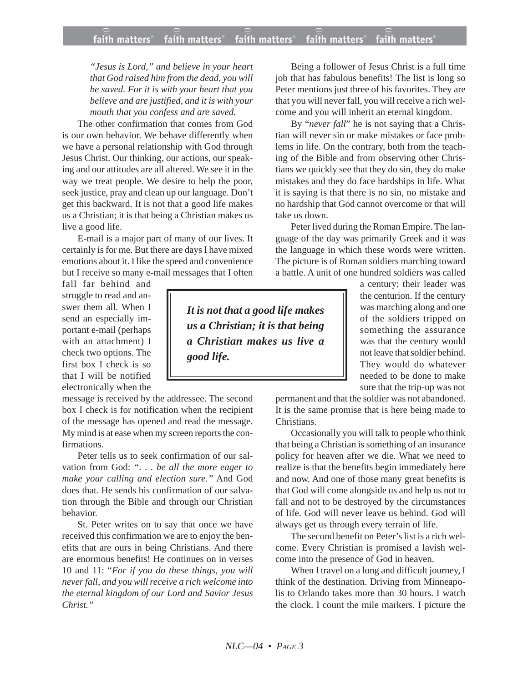*"Jesus is Lord," and believe in your heart that God raised him from the dead, you will be saved. For it is with your heart that you believe and are justified, and it is with your mouth that you confess and are saved.*

The other confirmation that comes from God is our own behavior. We behave differently when we have a personal relationship with God through Jesus Christ. Our thinking, our actions, our speaking and our attitudes are all altered. We see it in the way we treat people. We desire to help the poor, seek justice, pray and clean up our language. Don't get this backward. It is not that a good life makes us a Christian; it is that being a Christian makes us live a good life.

E-mail is a major part of many of our lives. It certainly is for me. But there are days I have mixed emotions about it. I like the speed and convenience but I receive so many e-mail messages that I often

fall far behind and struggle to read and answer them all. When I send an especially important e-mail (perhaps with an attachment) I check two options. The first box I check is so that I will be notified electronically when the

message is received by the addressee. The second box I check is for notification when the recipient of the message has opened and read the message. My mind is at ease when my screen reports the confirmations.

Peter tells us to seek confirmation of our salvation from God: *". . . be all the more eager to make your calling and election sure."* And God does that. He sends his confirmation of our salvation through the Bible and through our Christian behavior.

St. Peter writes on to say that once we have received this confirmation we are to enjoy the benefits that are ours in being Christians. And there are enormous benefits! He continues on in verses 10 and 11: "*For if you do these things, you will never fall, and you will receive a rich welcome into the eternal kingdom of our Lord and Savior Jesus Christ."*

Being a follower of Jesus Christ is a full time job that has fabulous benefits! The list is long so Peter mentions just three of his favorites. They are that you will never fall, you will receive a rich welcome and you will inherit an eternal kingdom.

By "*never fall*" he is not saying that a Christian will never sin or make mistakes or face problems in life. On the contrary, both from the teaching of the Bible and from observing other Christians we quickly see that they do sin, they do make mistakes and they do face hardships in life. What it is saying is that there is no sin, no mistake and no hardship that God cannot overcome or that will take us down.

Peter lived during the Roman Empire. The language of the day was primarily Greek and it was the language in which these words were written. The picture is of Roman soldiers marching toward a battle. A unit of one hundred soldiers was called

*It is not that a good life makes us a Christian; it is that being a Christian makes us live a good life.*

a century; their leader was the centurion. If the century was marching along and one of the soldiers tripped on something the assurance was that the century would not leave that soldier behind. They would do whatever needed to be done to make sure that the trip-up was not

permanent and that the soldier was not abandoned. It is the same promise that is here being made to Christians.

Occasionally you will talk to people who think that being a Christian is something of an insurance policy for heaven after we die. What we need to realize is that the benefits begin immediately here and now. And one of those many great benefits is that God will come alongside us and help us not to fall and not to be destroyed by the circumstances of life. God will never leave us behind. God will always get us through every terrain of life.

The second benefit on Peter's list is a rich welcome. Every Christian is promised a lavish welcome into the presence of God in heaven.

When I travel on a long and difficult journey, I think of the destination. Driving from Minneapolis to Orlando takes more than 30 hours. I watch the clock. I count the mile markers. I picture the